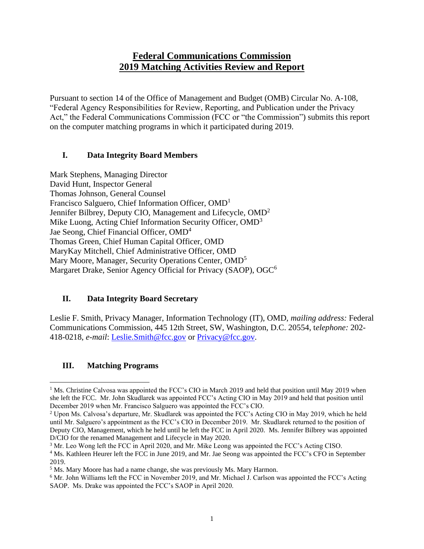# **Federal Communications Commission 2019 Matching Activities Review and Report**

Pursuant to section 14 of the Office of Management and Budget (OMB) Circular No. A-108, "Federal Agency Responsibilities for Review, Reporting, and Publication under the Privacy Act," the Federal Communications Commission (FCC or "the Commission") submits this report on the computer matching programs in which it participated during 2019.

#### **I. Data Integrity Board Members**

Mark Stephens, Managing Director David Hunt, Inspector General Thomas Johnson, General Counsel Francisco Salguero, Chief Information Officer, OMD<sup>1</sup> Jennifer Bilbrey, Deputy CIO, Management and Lifecycle, OMD<sup>2</sup> Mike Luong, Acting Chief Information Security Officer, OMD<sup>3</sup> Jae Seong, Chief Financial Officer, OMD<sup>4</sup> Thomas Green, Chief Human Capital Officer, OMD MaryKay Mitchell, Chief Administrative Officer, OMD Mary Moore, Manager, Security Operations Center, OMD<sup>5</sup> Margaret Drake, Senior Agency Official for Privacy (SAOP), OGC<sup>6</sup>

### **II. Data Integrity Board Secretary**

Leslie F. Smith, Privacy Manager, Information Technology (IT), OMD, *mailing address:* Federal Communications Commission, 445 12th Street, SW, Washington, D.C. 20554, t*elephone:* 202- 418-0218, *e-mail*: [Leslie.Smith@fcc.gov](mailto:Leslie.Smith@fcc.gov) or [Privacy@fcc.gov.](mailto:Privacy@fcc.gov)

### **III. Matching Programs**

<sup>&</sup>lt;sup>1</sup> Ms. Christine Calvosa was appointed the FCC's CIO in March 2019 and held that position until May 2019 when she left the FCC. Mr. John Skudlarek was appointed FCC's Acting CIO in May 2019 and held that position until December 2019 when Mr. Francisco Salguero was appointed the FCC's CIO.

<sup>2</sup> Upon Ms. Calvosa's departure, Mr. Skudlarek was appointed the FCC's Acting CIO in May 2019, which he held until Mr. Salguero's appointment as the FCC's CIO in December 2019. Mr. Skudlarek returned to the position of Deputy CIO, Management, which he held until he left the FCC in April 2020. Ms. Jennifer Bilbrey was appointed D/CIO for the renamed Management and Lifecycle in May 2020.

<sup>3</sup> Mr. Leo Wong left the FCC in April 2020, and Mr. Mike Leong was appointed the FCC's Acting CISO.

<sup>&</sup>lt;sup>4</sup> Ms. Kathleen Heurer left the FCC in June 2019, and Mr. Jae Seong was appointed the FCC's CFO in September 2019.

<sup>5</sup> Ms. Mary Moore has had a name change, she was previously Ms. Mary Harmon.

<sup>6</sup> Mr. John Williams left the FCC in November 2019, and Mr. Michael J. Carlson was appointed the FCC's Acting SAOP. Ms. Drake was appointed the FCC's SAOP in April 2020.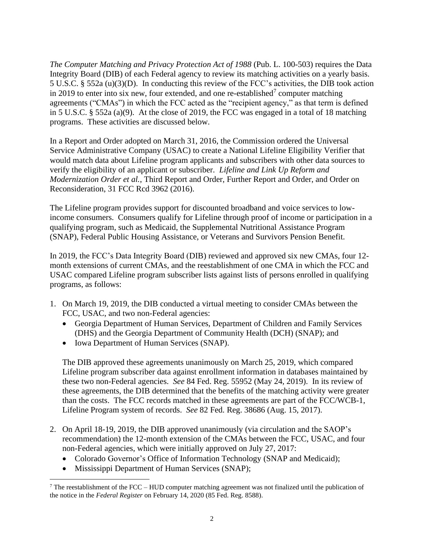*The Computer Matching and Privacy Protection Act of 1988* (Pub. L. 100-503) requires the Data Integrity Board (DIB) of each Federal agency to review its matching activities on a yearly basis. 5 U.S.C. § 552a (u)(3)(D). In conducting this review of the FCC's activities, the DIB took action in 2019 to enter into six new, four extended, and one re-established<sup>7</sup> computer matching agreements ("CMAs") in which the FCC acted as the "recipient agency," as that term is defined in 5 U.S.C. § 552a (a)(9). At the close of 2019, the FCC was engaged in a total of 18 matching programs. These activities are discussed below.

In a Report and Order adopted on March 31, 2016, the Commission ordered the Universal Service Administrative Company (USAC) to create a National Lifeline Eligibility Verifier that would match data about Lifeline program applicants and subscribers with other data sources to verify the eligibility of an applicant or subscriber. *Lifeline and Link Up Reform and Modernization Order et al.*, Third Report and Order, Further Report and Order, and Order on Reconsideration, 31 FCC Rcd 3962 (2016).

The Lifeline program provides support for discounted broadband and voice services to lowincome consumers. Consumers qualify for Lifeline through proof of income or participation in a qualifying program, such as Medicaid, the Supplemental Nutritional Assistance Program (SNAP), Federal Public Housing Assistance, or Veterans and Survivors Pension Benefit.

In 2019, the FCC's Data Integrity Board (DIB) reviewed and approved six new CMAs, four 12 month extensions of current CMAs, and the reestablishment of one CMA in which the FCC and USAC compared Lifeline program subscriber lists against lists of persons enrolled in qualifying programs, as follows:

- 1. On March 19, 2019, the DIB conducted a virtual meeting to consider CMAs between the FCC, USAC, and two non-Federal agencies:
	- Georgia Department of Human Services, Department of Children and Family Services (DHS) and the Georgia Department of Community Health (DCH) (SNAP); and
	- Iowa Department of Human Services (SNAP).

The DIB approved these agreements unanimously on March 25, 2019, which compared Lifeline program subscriber data against enrollment information in databases maintained by these two non-Federal agencies. *See* 84 Fed. Reg. 55952 (May 24, 2019). In its review of these agreements, the DIB determined that the benefits of the matching activity were greater than the costs. The FCC records matched in these agreements are part of the FCC/WCB-1, Lifeline Program system of records. *See* 82 Fed. Reg. 38686 (Aug. 15, 2017).

- 2. On April 18-19, 2019, the DIB approved unanimously (via circulation and the SAOP's recommendation) the 12-month extension of the CMAs between the FCC, USAC, and four non-Federal agencies, which were initially approved on July 27, 2017:
	- Colorado Governor's Office of Information Technology (SNAP and Medicaid);
	- Mississippi Department of Human Services (SNAP);

 $7$  The reestablishment of the FCC – HUD computer matching agreement was not finalized until the publication of the notice in the *Federal Register* on February 14, 2020 (85 Fed. Reg. 8588).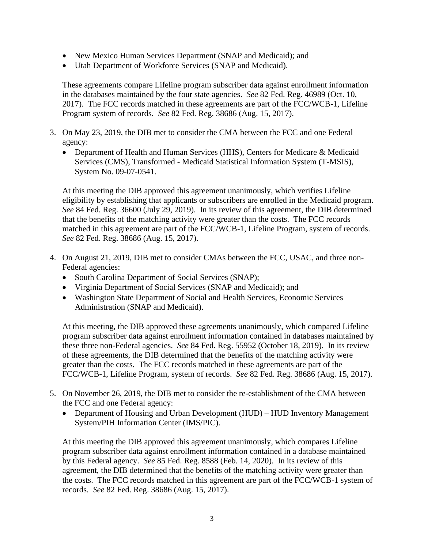- New Mexico Human Services Department (SNAP and Medicaid); and
- Utah Department of Workforce Services (SNAP and Medicaid).

These agreements compare Lifeline program subscriber data against enrollment information in the databases maintained by the four state agencies. *See* 82 Fed. Reg. 46989 (Oct. 10, 2017). The FCC records matched in these agreements are part of the FCC/WCB-1, Lifeline Program system of records. *See* 82 Fed. Reg. 38686 (Aug. 15, 2017).

- 3. On May 23, 2019, the DIB met to consider the CMA between the FCC and one Federal agency:
	- Department of Health and Human Services (HHS), Centers for Medicare & Medicaid Services (CMS), Transformed - Medicaid Statistical Information System (T-MSIS), System No. 09-07-0541.

At this meeting the DIB approved this agreement unanimously, which verifies Lifeline eligibility by establishing that applicants or subscribers are enrolled in the Medicaid program. *See* 84 Fed. Reg. 36600 (July 29, 2019). In its review of this agreement, the DIB determined that the benefits of the matching activity were greater than the costs. The FCC records matched in this agreement are part of the FCC/WCB-1, Lifeline Program, system of records. *See* 82 Fed. Reg. 38686 (Aug. 15, 2017).

- 4. On August 21, 2019, DIB met to consider CMAs between the FCC, USAC, and three non-Federal agencies:
	- South Carolina Department of Social Services (SNAP);
	- Virginia Department of Social Services (SNAP and Medicaid); and
	- Washington State Department of Social and Health Services, Economic Services Administration (SNAP and Medicaid).

At this meeting, the DIB approved these agreements unanimously, which compared Lifeline program subscriber data against enrollment information contained in databases maintained by these three non-Federal agencies. *See* 84 Fed. Reg. 55952 (October 18, 2019). In its review of these agreements, the DIB determined that the benefits of the matching activity were greater than the costs. The FCC records matched in these agreements are part of the FCC/WCB-1, Lifeline Program, system of records. *See* 82 Fed. Reg. 38686 (Aug. 15, 2017).

- 5. On November 26, 2019, the DIB met to consider the re-establishment of the CMA between the FCC and one Federal agency:
	- Department of Housing and Urban Development (HUD) HUD Inventory Management System/PIH Information Center (IMS/PIC).

At this meeting the DIB approved this agreement unanimously, which compares Lifeline program subscriber data against enrollment information contained in a database maintained by this Federal agency. *See* 85 Fed. Reg. 8588 (Feb. 14, 2020). In its review of this agreement, the DIB determined that the benefits of the matching activity were greater than the costs. The FCC records matched in this agreement are part of the FCC/WCB-1 system of records. *See* 82 Fed. Reg. 38686 (Aug. 15, 2017).